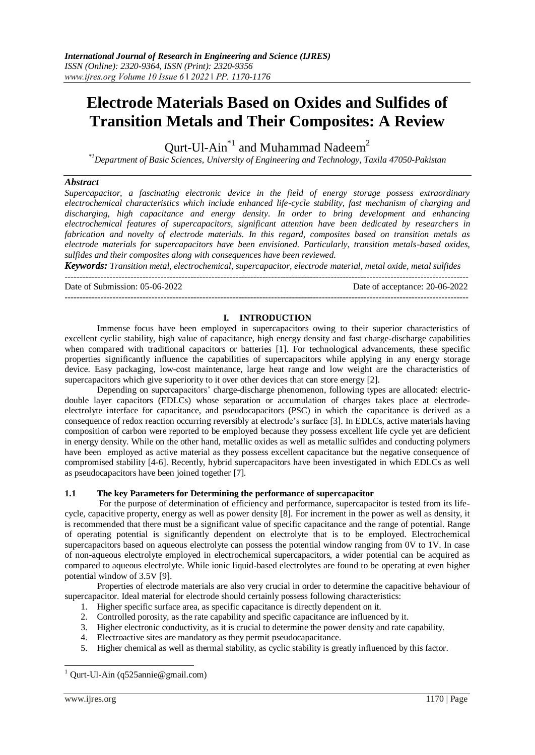# **Electrode Materials Based on Oxides and Sulfides of Transition Metals and Their Composites: A Review**

Qurt-Ul-Ain<sup>\*1</sup> and Muhammad Nadeem<sup>2</sup>

*\*1Department of Basic Sciences, University of Engineering and Technology, Taxila 47050-Pakistan*

### *Abstract*

*Supercapacitor, a fascinating electronic device in the field of energy storage possess extraordinary electrochemical characteristics which include enhanced life-cycle stability, fast mechanism of charging and discharging, high capacitance and energy density. In order to bring development and enhancing electrochemical features of supercapacitors, significant attention have been dedicated by researchers in fabrication and novelty of electrode materials. In this regard, composites based on transition metals as electrode materials for supercapacitors have been envisioned. Particularly, transition metals-based oxides, sulfides and their composites along with consequences have been reviewed.*

*Keywords: Transition metal, electrochemical, supercapacitor, electrode material, metal oxide, metal sulfides* ---------------------------------------------------------------------------------------------------------------------------------------

---------------------------------------------------------------------------------------------------------------------------------------

Date of Submission: 05-06-2022 Date of acceptance: 20-06-2022

### **I. INTRODUCTION**

Immense focus have been employed in supercapacitors owing to their superior characteristics of excellent cyclic stability, high value of capacitance, high energy density and fast charge-discharge capabilities when compared with traditional capacitors or batteries [\[1\]](#page-4-0). For technological advancements, these specific properties significantly influence the capabilities of supercapacitors while applying in any energy storage device. Easy packaging, low-cost maintenance, large heat range and low weight are the characteristics of supercapacitors which give superiority to it over other devices that can store energy [\[2\]](#page-4-1).

Depending on supercapacitors' charge-discharge phenomenon, following types are allocated: electricdouble layer capacitors (EDLCs) whose separation or accumulation of charges takes place at electrodeelectrolyte interface for capacitance, and pseudocapacitors (PSC) in which the capacitance is derived as a consequence of redox reaction occurring reversibly at electrode's surface [\[3\]](#page-4-2). In EDLCs, active materials having composition of carbon were reported to be employed because they possess excellent life cycle yet are deficient in energy density. While on the other hand, metallic oxides as well as metallic sulfides and conducting polymers have been employed as active material as they possess excellent capacitance but the negative consequence of compromised stability [\[4-6\]](#page-4-3). Recently, hybrid supercapacitors have been investigated in which EDLCs as well as pseudocapacitors have been joined together [\[7\]](#page-4-4).

### **1.1 The key Parameters for Determining the performance of supercapacitor**

For the purpose of determination of efficiency and performance, supercapacitor is tested from its lifecycle, capacitive property, energy as well as power density [\[8\]](#page-4-5). For increment in the power as well as density, it is recommended that there must be a significant value of specific capacitance and the range of potential. Range of operating potential is significantly dependent on electrolyte that is to be employed. Electrochemical supercapacitors based on aqueous electrolyte can possess the potential window ranging from 0V to 1V. In case of non-aqueous electrolyte employed in electrochemical supercapacitors, a wider potential can be acquired as compared to aqueous electrolyte. While ionic liquid-based electrolytes are found to be operating at even higher potential window of 3.5V [\[9\]](#page-4-6).

Properties of electrode materials are also very crucial in order to determine the capacitive behaviour of supercapacitor. Ideal material for electrode should certainly possess following characteristics:

- 1. Higher specific surface area, as specific capacitance is directly dependent on it.
- 2. Controlled porosity, as the rate capability and specific capacitance are influenced by it.
- 3. Higher electronic conductivity, as it is crucial to determine the power density and rate capability.
- 4. Electroactive sites are mandatory as they permit pseudocapacitance.
- 5. Higher chemical as well as thermal stability, as cyclic stability is greatly influenced by this factor.

-

 $1$  Qurt-Ul-Ain (q525annie@gmail.com)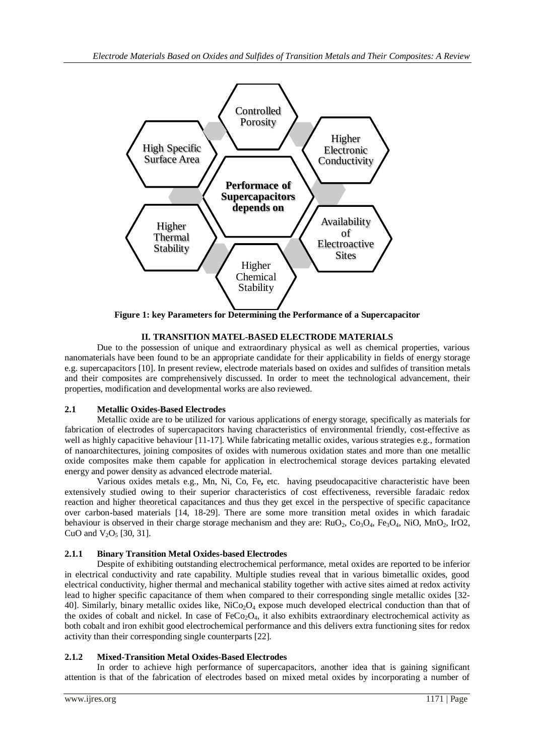

**Figure 1: key Parameters for Determining the Performance of a Supercapacitor**

## **II. TRANSITION MATEL-BASED ELECTRODE MATERIALS**

Due to the possession of unique and extraordinary physical as well as chemical properties, various nanomaterials have been found to be an appropriate candidate for their applicability in fields of energy storage e.g. supercapacitors [\[10\]](#page-4-7). In present review, electrode materials based on oxides and sulfides of transition metals and their composites are comprehensively discussed. In order to meet the technological advancement, their properties, modification and developmental works are also reviewed.

## **2.1 Metallic Oxides-Based Electrodes**

Metallic oxide are to be utilized for various applications of energy storage, specifically as materials for fabrication of electrodes of supercapacitors having characteristics of environmental friendly, cost-effective as well as highly capacitive behaviour [\[11-17\]](#page-4-8). While fabricating metallic oxides, various strategies e.g., formation of nanoarchitectures, joining composites of oxides with numerous oxidation states and more than one metallic oxide composites make them capable for application in electrochemical storage devices partaking elevated energy and power density as advanced electrode material.

Various oxides metals e.g., Mn, Ni, Co, Fe**,** etc. having pseudocapacitive characteristic have been extensively studied owing to their superior characteristics of cost effectiveness, reversible faradaic redox reaction and higher theoretical capacitances and thus they get excel in the perspective of specific capacitance over carbon-based materials [\[14,](#page-4-9) [18-29\]](#page-4-10). There are some more transition metal oxides in which faradaic behaviour is observed in their charge storage mechanism and they are:  $RuO<sub>2</sub>, Co<sub>3</sub>O<sub>4</sub>, Fe<sub>3</sub>O<sub>4</sub>, NiO, MnO<sub>2</sub>, IrO<sub>2</sub>,$ CuO and  $V_2O_5$  [\[30,](#page-5-0) [31\]](#page-5-1).

## **2.1.1 Binary Transition Metal Oxides-based Electrodes**

Despite of exhibiting outstanding electrochemical performance, metal oxides are reported to be inferior in electrical conductivity and rate capability. Multiple studies reveal that in various bimetallic oxides, good electrical conductivity, higher thermal and mechanical stability together with active sites aimed at redox activity lead to higher specific capacitance of them when compared to their corresponding single metallic oxides [\[32-](#page-5-2) [40\]](#page-5-2). Similarly, binary metallic oxides like, NiCo<sub>2</sub>O<sub>4</sub> expose much developed electrical conduction than that of the oxides of cobalt and nickel. In case of  $FeCo<sub>2</sub>O<sub>4</sub>$ , it also exhibits extraordinary electrochemical activity as both cobalt and iron exhibit good electrochemical performance and this delivers extra functioning sites for redox activity than their corresponding single counterparts [\[22\]](#page-4-11).

## **2.1.2 Mixed-Transition Metal Oxides-Based Electrodes**

In order to achieve high performance of supercapacitors, another idea that is gaining significant attention is that of the fabrication of electrodes based on mixed metal oxides by incorporating a number of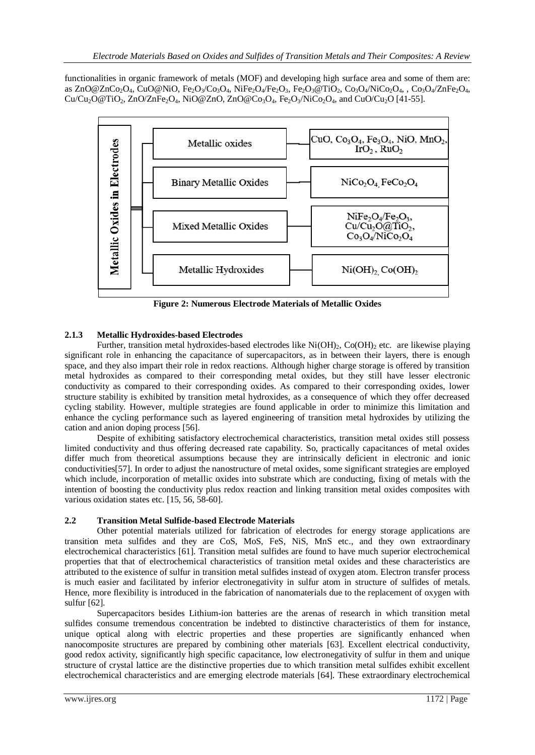functionalities in organic framework of metals (MOF) and developing high surface area and some of them are: as  $ZnO@ZnCo<sub>2</sub>O<sub>4</sub>$ , CuO@NiO, Fe<sub>2</sub>O<sub>3</sub>/Co<sub>3</sub>O<sub>4</sub>, NiFe<sub>2</sub>O<sub>4</sub>/Fe<sub>2</sub>O<sub>3</sub>, Fe<sub>2</sub>O<sub>3</sub>@TiO<sub>2</sub>, Co<sub>3</sub>O<sub>4</sub>/NiCo<sub>2</sub>O<sub>4</sub>, , Co<sub>3</sub>O<sub>4</sub>/ZnFe<sub>2</sub>O<sub>4</sub>,  $Cu/Cu_2O@TiO_2$ , ZnO/ZnFe<sub>2</sub>O<sub>4</sub>, NiO@ZnO, ZnO@Co<sub>3</sub>O<sub>4</sub>, Fe<sub>2</sub>O<sub>3</sub>/NiCo<sub>2</sub>O<sub>4</sub>, and CuO/Cu<sub>2</sub>O [\[41-55\]](#page-5-3).



**Figure 2: Numerous Electrode Materials of Metallic Oxides**

## **2.1.3 Metallic Hydroxides-based Electrodes**

Further, transition metal hydroxides-based electrodes like  $Ni(OH)_2$ ,  $Co(OH)_2$  etc. are likewise playing significant role in enhancing the capacitance of supercapacitors, as in between their layers, there is enough space, and they also impart their role in redox reactions. Although higher charge storage is offered by transition metal hydroxides as compared to their corresponding metal oxides, but they still have lesser electronic conductivity as compared to their corresponding oxides. As compared to their corresponding oxides, lower structure stability is exhibited by transition metal hydroxides, as a consequence of which they offer decreased cycling stability. However, multiple strategies are found applicable in order to minimize this limitation and enhance the cycling performance such as layered engineering of transition metal hydroxides by utilizing the cation and anion doping process [\[56\]](#page-5-4).

Despite of exhibiting satisfactory electrochemical characteristics, transition metal oxides still possess limited conductivity and thus offering decreased rate capability. So, practically capacitances of metal oxides differ much from theoretical assumptions because they are intrinsically deficient in electronic and ionic conductivities[\[57\]](#page-5-5). In order to adjust the nanostructure of metal oxides, some significant strategies are employed which include, incorporation of metallic oxides into substrate which are conducting, fixing of metals with the intention of boosting the conductivity plus redox reaction and linking transition metal oxides composites with various oxidation states etc. [\[15,](#page-4-12) [56,](#page-5-4) [58-60\]](#page-5-6).

## **2.2 Transition Metal Sulfide-based Electrode Materials**

Other potential materials utilized for fabrication of electrodes for energy storage applications are transition meta sulfides and they are CoS, MoS, FeS, NiS, MnS etc., and they own extraordinary electrochemical characteristics [\[61\]](#page-6-0). Transition metal sulfides are found to have much superior electrochemical properties that that of electrochemical characteristics of transition metal oxides and these characteristics are attributed to the existence of sulfur in transition metal sulfides instead of oxygen atom. Electron transfer process is much easier and facilitated by inferior electronegativity in sulfur atom in structure of sulfides of metals. Hence, more flexibility is introduced in the fabrication of nanomaterials due to the replacement of oxygen with sulfur [\[62\]](#page-6-1).

Supercapacitors besides Lithium-ion batteries are the arenas of research in which transition metal sulfides consume tremendous concentration be indebted to distinctive characteristics of them for instance, unique optical along with electric properties and these properties are significantly enhanced when nanocomposite structures are prepared by combining other materials [\[63\]](#page-6-2). Excellent electrical conductivity, good redox activity, significantly high specific capacitance, low electronegativity of sulfur in them and unique structure of crystal lattice are the distinctive properties due to which transition metal sulfides exhibit excellent electrochemical characteristics and are emerging electrode materials [\[64\]](#page-6-3). These extraordinary electrochemical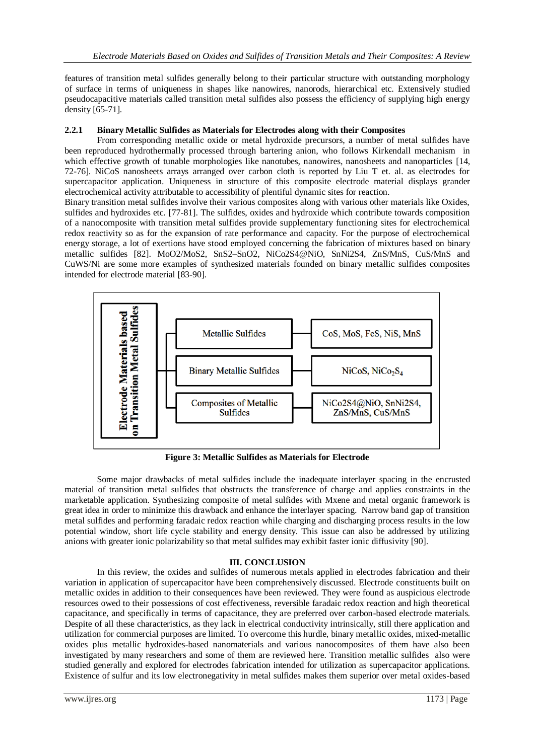features of transition metal sulfides generally belong to their particular structure with outstanding morphology of surface in terms of uniqueness in shapes like nanowires, nanorods, hierarchical etc. Extensively studied pseudocapacitive materials called transition metal sulfides also possess the efficiency of supplying high energy density [\[65-71\]](#page-6-4).

## **2.2.1 Binary Metallic Sulfides as Materials for Electrodes along with their Composites**

From corresponding metallic oxide or metal hydroxide precursors, a number of metal sulfides have been reproduced hydrothermally processed through bartering anion, who follows Kirkendall mechanism in which effective growth of tunable morphologies like nanotubes, nanowires, nanosheets and nanoparticles [\[14,](#page-4-9) [72-76\]](#page-6-5). NiCoS nanosheets arrays arranged over carbon cloth is reported by Liu T et. al. as electrodes for supercapacitor application. Uniqueness in structure of this composite electrode material displays grander electrochemical activity attributable to accessibility of plentiful dynamic sites for reaction.

Binary transition metal sulfides involve their various composites along with various other materials like Oxides, sulfides and hydroxides etc. [\[77-81\]](#page-6-6). The sulfides, oxides and hydroxide which contribute towards composition of a nanocomposite with transition metal sulfides provide supplementary functioning sites for electrochemical redox reactivity so as for the expansion of rate performance and capacity. For the purpose of electrochemical energy storage, a lot of exertions have stood employed concerning the fabrication of mixtures based on binary metallic sulfides [\[82\]](#page-6-7). MoO2/MoS2, SnS2–SnO2, NiCo2S4@NiO, SnNi2S4, ZnS/MnS, CuS/MnS and CuWS/Ni are some more examples of synthesized materials founded on binary metallic sulfides composites intended for electrode material [\[83-90\]](#page-6-8).



**Figure 3: Metallic Sulfides as Materials for Electrode** 

Some major drawbacks of metal sulfides include the inadequate interlayer spacing in the encrusted material of transition metal sulfides that obstructs the transference of charge and applies constraints in the marketable application. Synthesizing composite of metal sulfides with Mxene and metal organic framework is great idea in order to minimize this drawback and enhance the interlayer spacing. Narrow band gap of transition metal sulfides and performing faradaic redox reaction while charging and discharging process results in the low potential window, short life cycle stability and energy density. This issue can also be addressed by utilizing anions with greater ionic polarizability so that metal sulfides may exhibit faster ionic diffusivity [\[90\]](#page-6-9).

## **III. CONCLUSION**

In this review, the oxides and sulfides of numerous metals applied in electrodes fabrication and their variation in application of supercapacitor have been comprehensively discussed. Electrode constituents built on metallic oxides in addition to their consequences have been reviewed. They were found as auspicious electrode resources owed to their possessions of cost effectiveness, reversible faradaic redox reaction and high theoretical capacitance, and specifically in terms of capacitance, they are preferred over carbon-based electrode materials. Despite of all these characteristics, as they lack in electrical conductivity intrinsically, still there application and utilization for commercial purposes are limited. To overcome this hurdle, binary metallic oxides, mixed-metallic oxides plus metallic hydroxides-based nanomaterials and various nanocomposites of them have also been investigated by many researchers and some of them are reviewed here. Transition metallic sulfides also were studied generally and explored for electrodes fabrication intended for utilization as supercapacitor applications. Existence of sulfur and its low electronegativity in metal sulfides makes them superior over metal oxides-based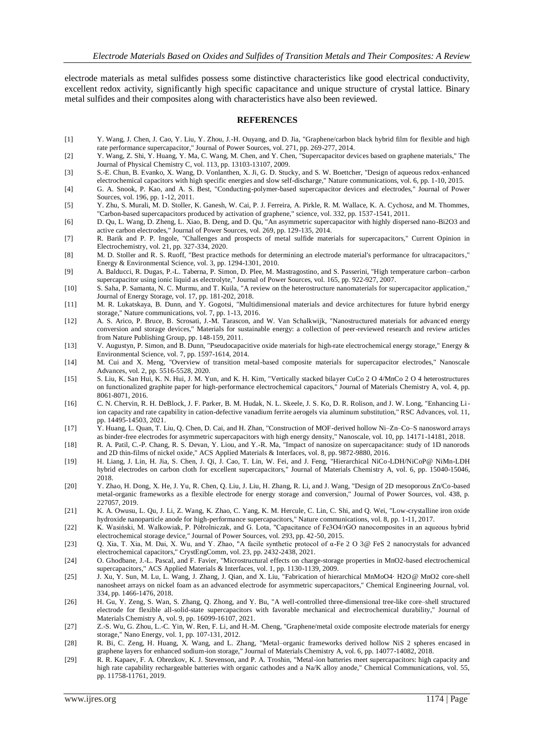electrode materials as metal sulfides possess some distinctive characteristics like good electrical conductivity, excellent redox activity, significantly high specific capacitance and unique structure of crystal lattice. Binary metal sulfides and their composites along with characteristics have also been reviewed.

#### **REFERENCES**

- <span id="page-4-0"></span>[1] Y. Wang, J. Chen, J. Cao, Y. Liu, Y. Zhou, J.-H. Ouyang, and D. Jia, "Graphene/carbon black hybrid film for flexible and high rate performance supercapacitor," Journal of Power Sources, vol. 271, pp. 269-277, 2014.
- <span id="page-4-1"></span>[2] Y. Wang, Z. Shi, Y. Huang, Y. Ma, C. Wang, M. Chen, and Y. Chen, "Supercapacitor devices based on graphene materials," The Journal of Physical Chemistry C, vol. 113, pp. 13103-13107, 2009.
- <span id="page-4-2"></span>[3] S.-E. Chun, B. Evanko, X. Wang, D. Vonlanthen, X. Ji, G. D. Stucky, and S. W. Boettcher, "Design of aqueous redox-enhanced electrochemical capacitors with high specific energies and slow self-discharge," Nature communications, vol. 6, pp. 1-10, 2015.
- <span id="page-4-3"></span>[4] G. A. Snook, P. Kao, and A. S. Best, "Conducting-polymer-based supercapacitor devices and electrodes," Journal of Power Sources, vol. 196, pp. 1-12, 2011.
- [5] Y. Zhu, S. Murali, M. D. Stoller, K. Ganesh, W. Cai, P. J. Ferreira, A. Pirkle, R. M. Wallace, K. A. Cychosz, and M. Thommes, "Carbon-based supercapacitors produced by activation of graphene," science, vol. 332, pp. 1537-1541, 2011.
- [6] D. Qu, L. Wang, D. Zheng, L. Xiao, B. Deng, and D. Qu, "An asymmetric supercapacitor with highly dispersed nano-Bi2O3 and active carbon electrodes," Journal of Power Sources, vol. 269, pp. 129-135, 2014.
- <span id="page-4-4"></span>[7] R. Barik and P. P. Ingole, "Challenges and prospects of metal sulfide materials for supercapacitors," Current Opinion in Electrochemistry, vol. 21, pp. 327-334, 2020.
- <span id="page-4-5"></span>[8] M. D. Stoller and R. S. Ruoff, "Best practice methods for determining an electrode material's performance for ultracapacitors," Energy & Environmental Science, vol. 3, pp. 1294-1301, 2010.
- <span id="page-4-6"></span>[9] A. Balducci, R. Dugas, P.-L. Taberna, P. Simon, D. Plee, M. Mastragostino, and S. Passerini, "High temperature carbon–carbon supercapacitor using ionic liquid as electrolyte," Journal of Power Sources, vol. 165, pp. 922-927, 2007.
- <span id="page-4-7"></span>[10] S. Saha, P. Samanta, N. C. Murmu, and T. Kuila, "A review on the heterostructure nanomaterials for supercapacitor application," Journal of Energy Storage, vol. 17, pp. 181-202, 2018.
- <span id="page-4-8"></span>[11] M. R. Lukatskaya, B. Dunn, and Y. Gogotsi, "Multidimensional materials and device architectures for future hybrid energy storage," Nature communications, vol. 7, pp. 1-13, 2016.
- [12] A. S. Arico, P. Bruce, B. Scrosati, J.-M. Tarascon, and W. Van Schalkwijk, "Nanostructured materials for advanced energy conversion and storage devices," Materials for sustainable energy: a collection of peer-reviewed research and review articles from Nature Publishing Group, pp. 148-159, 2011.
- [13] V. Augustyn, P. Simon, and B. Dunn, "Pseudocapacitive oxide materials for high-rate electrochemical energy storage," Energy & Environmental Science, vol. 7, pp. 1597-1614, 2014.
- <span id="page-4-9"></span>[14] M. Cui and X. Meng, "Overview of transition metal-based composite materials for supercapacitor electrodes," Nanoscale Advances, vol. 2, pp. 5516-5528, 2020.
- <span id="page-4-12"></span>[15] S. Liu, K. San Hui, K. N. Hui, J. M. Yun, and K. H. Kim, "Vertically stacked bilayer CuCo 2 O 4/MnCo 2 O 4 heterostructures on functionalized graphite paper for high-performance electrochemical capacitors," Journal of Materials Chemistry A, vol. 4, pp. 8061-8071, 2016.
- [16] C. N. Chervin, R. H. DeBlock, J. F. Parker, B. M. Hudak, N. L. Skeele, J. S. Ko, D. R. Rolison, and J. W. Long, "Enhancing Liion capacity and rate capability in cation-defective vanadium ferrite aerogels via aluminum substitution," RSC Advances, vol. 11, pp. 14495-14503, 2021.
- [17] Y. Huang, L. Quan, T. Liu, Q. Chen, D. Cai, and H. Zhan, "Construction of MOF-derived hollow Ni–Zn–Co–S nanosword arrays as binder-free electrodes for asymmetric supercapacitors with high energy density," Nanoscale, vol. 10, pp. 14171-14181, 2018.
- <span id="page-4-10"></span>[18] R. A. Patil, C.-P. Chang, R. S. Devan, Y. Liou, and Y.-R. Ma, "Impact of nanosize on supercapacitance: study of 1D nanorods and 2D thin-films of nickel oxide," ACS Applied Materials & Interfaces, vol. 8, pp. 9872-9880, 2016.
- [19] H. Liang, J. Lin, H. Jia, S. Chen, J. Qi, J. Cao, T. Lin, W. Fei, and J. Feng, "Hierarchical NiCo-LDH/NiCoP@ NiMn-LDH hybrid electrodes on carbon cloth for excellent supercapacitors," Journal of Materials Chemistry A, vol. 6, pp. 15040-15046, 2018.
- [20] Y. Zhao, H. Dong, X. He, J. Yu, R. Chen, Q. Liu, J. Liu, H. Zhang, R. Li, and J. Wang, "Design of 2D mesoporous Zn/Co-based metal-organic frameworks as a flexible electrode for energy storage and conversion," Journal of Power Sources, vol. 438, p. 227057, 2019.
- [21] K. A. Owusu, L. Qu, J. Li, Z. Wang, K. Zhao, C. Yang, K. M. Hercule, C. Lin, C. Shi, and Q. Wei, "Low-crystalline iron oxide hydroxide nanoparticle anode for high-performance supercapacitors," Nature communications, vol. 8, pp. 1-11, 2017.
- <span id="page-4-11"></span>[22] K. Wasiński, M. Walkowiak, P. Półrolniczak, and G. Lota, "Capacitance of Fe3O4/rGO nanocomposites in an aqueous hybrid electrochemical storage device," Journal of Power Sources, vol. 293, pp. 42-50, 2015.
- [23] Q. Xia, T. Xia, M. Dai, X. Wu, and Y. Zhao, "A facile synthetic protocol of α-Fe 2 O 3@ FeS 2 nanocrystals for advanced electrochemical capacitors," CrystEngComm, vol. 23, pp. 2432-2438, 2021.
- [24] O. Ghodbane, J.-L. Pascal, and F. Favier, "Microstructural effects on charge-storage properties in MnO2-based electrochemical supercapacitors," ACS Applied Materials & Interfaces, vol. 1, pp. 1130-1139, 2009.
- [25] J. Xu, Y. Sun, M. Lu, L. Wang, J. Zhang, J. Qian, and X. Liu, "Fabrication of hierarchical MnMoO4· H2O@ MnO2 core-shell nanosheet arrays on nickel foam as an advanced electrode for asymmetric supercapacitors," Chemical Engineering Journal, vol. 334, pp. 1466-1476, 2018.
- [26] H. Gu, Y. Zeng, S. Wan, S. Zhang, Q. Zhong, and Y. Bu, "A well-controlled three-dimensional tree-like core–shell structured electrode for flexible all-solid-state supercapacitors with favorable mechanical and electrochemical durability," Journal of Materials Chemistry A, vol. 9, pp. 16099-16107, 2021.
- [27] Z.-S. Wu, G. Zhou, L.-C. Yin, W. Ren, F. Li, and H.-M. Cheng, "Graphene/metal oxide composite electrode materials for energy storage," Nano Energy, vol. 1, pp. 107-131, 2012.
- [28] R. Bi, C. Zeng, H. Huang, X. Wang, and L. Zhang, "Metal–organic frameworks derived hollow NiS 2 spheres encased in graphene layers for enhanced sodium-ion storage," Journal of Materials Chemistry A, vol. 6, pp. 14077-14082, 2018.
- [29] R. R. Kapaev, F. A. Obrezkov, K. J. Stevenson, and P. A. Troshin, "Metal-ion batteries meet supercapacitors: high capacity and high rate capability rechargeable batteries with organic cathodes and a Na/K alloy anode," Chemical Communications, vol. 55, pp. 11758-11761, 2019.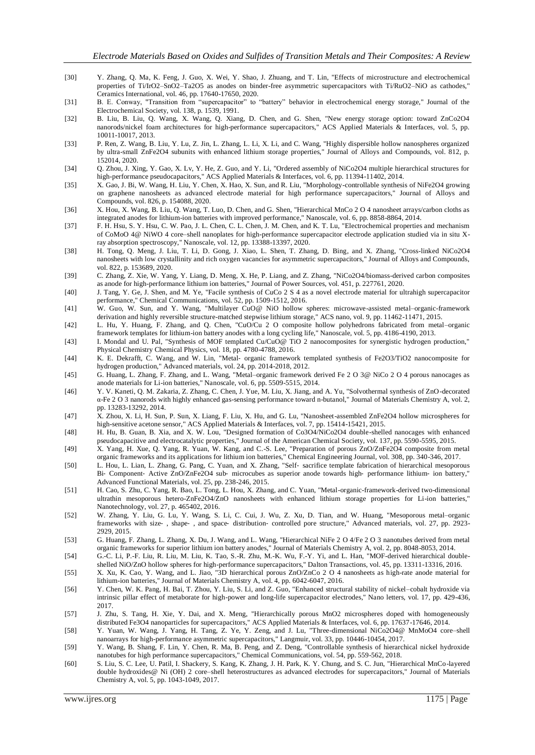- <span id="page-5-0"></span>[30] Y. Zhang, Q. Ma, K. Feng, J. Guo, X. Wei, Y. Shao, J. Zhuang, and T. Lin, "Effects of microstructure and electrochemical properties of Ti/IrO2–SnO2–Ta2O5 as anodes on binder-free asymmetric supercapacitors with Ti/RuO2–NiO as cathodes," Ceramics International, vol. 46, pp. 17640-17650, 2020.
- <span id="page-5-1"></span>[31] B. E. Conway, "Transition from "supercapacitor" to "battery" behavior in electrochemical energy storage," Journal of the Electrochemical Society, vol. 138, p. 1539, 1991.
- <span id="page-5-2"></span>[32] B. Liu, B. Liu, Q. Wang, X. Wang, Q. Xiang, D. Chen, and G. Shen, "New energy storage option: toward ZnCo2O4 nanorods/nickel foam architectures for high-performance supercapacitors," ACS Applied Materials & Interfaces, vol. 5, pp. 10011-10017, 2013.
- [33] P. Ren, Z. Wang, B. Liu, Y. Lu, Z. Jin, L. Zhang, L. Li, X. Li, and C. Wang, "Highly dispersible hollow nanospheres organized by ultra-small ZnFe2O4 subunits with enhanced lithium storage properties," Journal of Alloys and Compounds, vol. 812, p. 152014, 2020.
- [34] Q. Zhou, J. Xing, Y. Gao, X. Lv, Y. He, Z. Guo, and Y. Li, "Ordered assembly of NiCo2O4 multiple hierarchical structures for high-performance pseudocapacitors," ACS Applied Materials & Interfaces, vol. 6, pp. 11394-11402, 2014.
- [35] X. Gao, J. Bi, W. Wang, H. Liu, Y. Chen, X. Hao, X. Sun, and R. Liu, "Morphology-controllable synthesis of NiFe2O4 growing on graphene nanosheets as advanced electrode material for high performance supercapacitors," Journal of Alloys and Compounds, vol. 826, p. 154088, 2020.
- [36] X. Hou, X. Wang, B. Liu, Q. Wang, T. Luo, D. Chen, and G. Shen, "Hierarchical MnCo 2 O 4 nanosheet arrays/carbon cloths as integrated anodes for lithium-ion batteries with improved performance," Nanoscale, vol. 6, pp. 8858-8864, 2014.
- [37] F. H. Hsu, S. Y. Hsu, C. W. Pao, J. L. Chen, C. L. Chen, J. M. Chen, and K. T. Lu, "Electrochemical properties and mechanism of CoMoO 4@ NiWO 4 core–shell nanoplates for high-performance supercapacitor electrode application studied via in situ Xray absorption spectroscopy," Nanoscale, vol. 12, pp. 13388-13397, 2020.
- [38] H. Tong, Q. Meng, J. Liu, T. Li, D. Gong, J. Xiao, L. Shen, T. Zhang, D. Bing, and X. Zhang, "Cross-linked NiCo2O4 nanosheets with low crystallinity and rich oxygen vacancies for asymmetric supercapacitors," Journal of Alloys and Compounds, vol. 822, p. 153689, 2020.
- [39] C. Zhang, Z. Xie, W. Yang, Y. Liang, D. Meng, X. He, P. Liang, and Z. Zhang, "NiCo2O4/biomass-derived carbon composites as anode for high-performance lithium ion batteries," Journal of Power Sources, vol. 451, p. 227761, 2020.
- [40] J. Tang, Y. Ge, J. Shen, and M. Ye, "Facile synthesis of CuCo 2 S 4 as a novel electrode material for ultrahigh supercapacitor performance," Chemical Communications, vol. 52, pp. 1509-1512, 2016.
- <span id="page-5-3"></span>[41] W. Guo, W. Sun, and Y. Wang, "Multilayer CuO@ NiO hollow spheres: microwave-assisted metal–organic-framework derivation and highly reversible structure-matched stepwise lithium storage," ACS nano, vol. 9, pp. 11462-11471, 2015.
- [42] L. Hu, Y. Huang, F. Zhang, and Q. Chen, "CuO/Cu 2 O composite hollow polyhedrons fabricated from metal–organic framework templates for lithium-ion battery anodes with a long cycling life," Nanoscale, vol. 5, pp. 4186-4190, 2013.
- [43] I. Mondal and U. Pal, "Synthesis of MOF templated Cu/CuO@ TiO 2 nanocomposites for synergistic hydrogen production," Physical Chemistry Chemical Physics, vol. 18, pp. 4780-4788, 2016.
- [44] K. E. Dekrafft, C. Wang, and W. Lin, "Metal‐ organic framework templated synthesis of Fe2O3/TiO2 nanocomposite for hydrogen production," Advanced materials, vol. 24, pp. 2014-2018, 2012.
- [45] G. Huang, L. Zhang, F. Zhang, and L. Wang, "Metal–organic framework derived Fe 2 O 3@ NiCo 2 O 4 porous nanocages as anode materials for Li-ion batteries," Nanoscale, vol. 6, pp. 5509-5515, 2014.
- [46] Y. V. Kaneti, Q. M. Zakaria, Z. Zhang, C. Chen, J. Yue, M. Liu, X. Jiang, and A. Yu, "Solvothermal synthesis of ZnO-decorated α-Fe 2 O 3 nanorods with highly enhanced gas-sensing performance toward n-butanol," Journal of Materials Chemistry A, vol. 2, pp. 13283-13292, 2014.
- [47] X. Zhou, X. Li, H. Sun, P. Sun, X. Liang, F. Liu, X. Hu, and G. Lu, "Nanosheet-assembled ZnFe2O4 hollow microspheres for high-sensitive acetone sensor," ACS Applied Materials & Interfaces, vol. 7, pp. 15414-15421, 2015.
- [48] H. Hu, B. Guan, B. Xia, and X. W. Lou, "Designed formation of Co3O4/NiCo2O4 double-shelled nanocages with enhanced pseudocapacitive and electrocatalytic properties," Journal of the American Chemical Society, vol. 137, pp. 5590-5595, 2015.
- [49] X. Yang, H. Xue, Q. Yang, R. Yuan, W. Kang, and C.-S. Lee, "Preparation of porous ZnO/ZnFe2O4 composite from metal organic frameworks and its applications for lithium ion batteries," Chemical Engineering Journal, vol. 308, pp. 340-346, 2017.
- [50] L. Hou, L. Lian, L. Zhang, G. Pang, C. Yuan, and X. Zhang, "Self‐ sacrifice template fabrication of hierarchical mesoporous Bi- Component- Active ZnO/ZnFe2O4 sub- microcubes as superior anode towards high- performance lithium- ion battery," Advanced Functional Materials, vol. 25, pp. 238-246, 2015.
- [51] H. Cao, S. Zhu, C. Yang, R. Bao, L. Tong, L. Hou, X. Zhang, and C. Yuan, "Metal-organic-framework-derived two-dimensional ultrathin mesoporous hetero-ZnFe2O4/ZnO nanosheets with enhanced lithium storage properties for Li-ion batteries," Nanotechnology, vol. 27, p. 465402, 2016.
- [52] W. Zhang, Y. Liu, G. Lu, Y. Wang, S. Li, C. Cui, J. Wu, Z. Xu, D. Tian, and W. Huang, "Mesoporous metal–organic frameworks with size-, shape-, and space- distribution- controlled pore structure," Advanced materials, vol. 27, pp. 2923-2929, 2015.
- [53] G. Huang, F. Zhang, L. Zhang, X. Du, J. Wang, and L. Wang, "Hierarchical NiFe 2 O 4/Fe 2 O 3 nanotubes derived from metal organic frameworks for superior lithium ion battery anodes," Journal of Materials Chemistry A, vol. 2, pp. 8048-8053, 2014.
- [54] G.-C. Li, P.-F. Liu, R. Liu, M. Liu, K. Tao, S.-R. Zhu, M.-K. Wu, F.-Y. Yi, and L. Han, "MOF-derived hierarchical doubleshelled NiO/ZnO hollow spheres for high-performance supercapacitors," Dalton Transactions, vol. 45, pp. 13311-13316, 2016.
- [55] X. Xu, K. Cao, Y. Wang, and L. Jiao, "3D hierarchical porous ZnO/ZnCo 2 O 4 nanosheets as high-rate anode material for lithium-ion batteries," Journal of Materials Chemistry A, vol. 4, pp. 6042-6047, 2016.
- <span id="page-5-4"></span>[56] Y. Chen, W. K. Pang, H. Bai, T. Zhou, Y. Liu, S. Li, and Z. Guo, "Enhanced structural stability of nickel–cobalt hydroxide via intrinsic pillar effect of metaborate for high-power and long-life supercapacitor electrodes," Nano letters, vol. 17, pp. 429-436, 2017.
- <span id="page-5-5"></span>[57] J. Zhu, S. Tang, H. Xie, Y. Dai, and X. Meng, "Hierarchically porous MnO2 microspheres doped with homogeneously distributed Fe3O4 nanoparticles for supercapacitors," ACS Applied Materials & Interfaces, vol. 6, pp. 17637-17646, 2014.
- <span id="page-5-6"></span>[58] Y. Yuan, W. Wang, J. Yang, H. Tang, Z. Ye, Y. Zeng, and J. Lu, "Three-dimensional NiCo2O4@ MnMoO4 core–shell nanoarrays for high-performance asymmetric supercapacitors," Langmuir, vol. 33, pp. 10446-10454, 2017.
- [59] Y. Wang, B. Shang, F. Lin, Y. Chen, R. Ma, B. Peng, and Z. Deng, "Controllable synthesis of hierarchical nickel hydroxide nanotubes for high performance supercapacitors," Chemical Communications, vol. 54, pp. 559-562, 2018.
- [60] S. Liu, S. C. Lee, U. Patil, I. Shackery, S. Kang, K. Zhang, J. H. Park, K. Y. Chung, and S. C. Jun, "Hierarchical MnCo-layered double hydroxides@ Ni (OH) 2 core–shell heterostructures as advanced electrodes for supercapacitors," Journal of Materials Chemistry A, vol. 5, pp. 1043-1049, 2017.